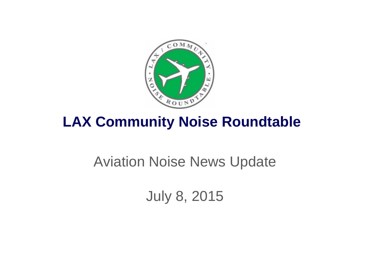

## **LAX Community Noise Roundtable**

## Aviation Noise News Update

July 8, 2015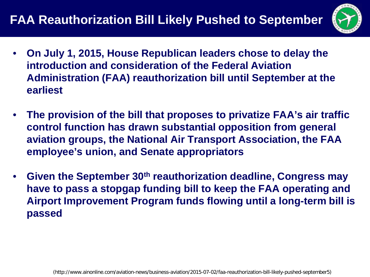## **FAA Reauthorization Bill Likely Pushed to September**



- **On July 1, 2015, House Republican leaders chose to delay the introduction and consideration of the Federal Aviation Administration (FAA) reauthorization bill until September at the earliest**
- **The provision of the bill that proposes to privatize FAA's air traffic control function has drawn substantial opposition from general aviation groups, the National Air Transport Association, the FAA employee's union, and Senate appropriators**
- **Given the September 30th reauthorization deadline, Congress may have to pass a stopgap funding bill to keep the FAA operating and Airport Improvement Program funds flowing until a long-term bill is passed**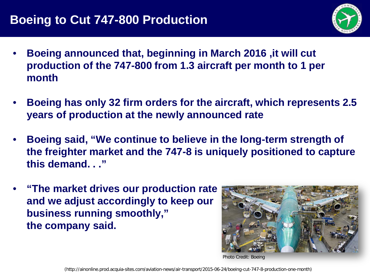

- **Boeing announced that, beginning in March 2016 ,it will cut production of the 747-800 from 1.3 aircraft per month to 1 per month**
- **Boeing has only 32 firm orders for the aircraft, which represents 2.5 years of production at the newly announced rate**
- **Boeing said, "We continue to believe in the long-term strength of the freighter market and the 747-8 is uniquely positioned to capture this demand. . ."**
- **"The market drives our production rate and we adjust accordingly to keep our business running smoothly," the company said.**



Photo Credit: Boeing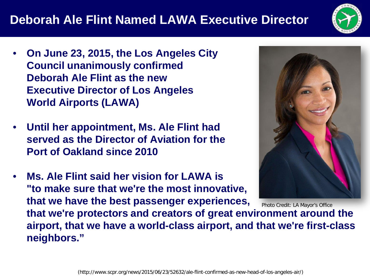## **Deborah Ale Flint Named LAWA Executive Director**



- **On June 23, 2015, the Los Angeles City Council unanimously confirmed Deborah Ale Flint as the new Executive Director of Los Angeles World Airports (LAWA)**
- **Until her appointment, Ms. Ale Flint had served as the Director of Aviation for the Port of Oakland since 2010**

**neighbors."**

• **Ms. Ale Flint said her vision for LAWA is "to make sure that we're the most innovative, that we have the best passenger experiences,**



**that we're protectors and creators of great environment around the airport, that we have a world-class airport, and that we're first-class**  Photo Credit: LA Mayor's Office

(http://www.scpr.org/news/2015/06/23/52632/ale-flint-confirmed-as-new-head-of-los-angeles-air/)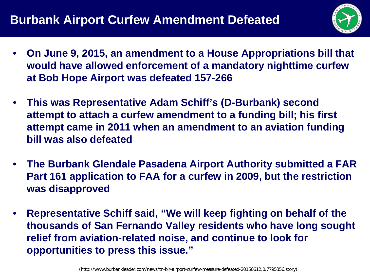

- **On June 9, 2015, an amendment to a House Appropriations bill that would have allowed enforcement of a mandatory nighttime curfew at Bob Hope Airport was defeated 157-266**
- **This was Representative Adam Schiff's (D-Burbank) second attempt to attach a curfew amendment to a funding bill; his first attempt came in 2011 when an amendment to an aviation funding bill was also defeated**
- **The Burbank Glendale Pasadena Airport Authority submitted a FAR Part 161 application to FAA for a curfew in 2009, but the restriction was disapproved**
- **Representative Schiff said, "We will keep fighting on behalf of the thousands of San Fernando Valley residents who have long sought relief from aviation-related noise, and continue to look for opportunities to press this issue."**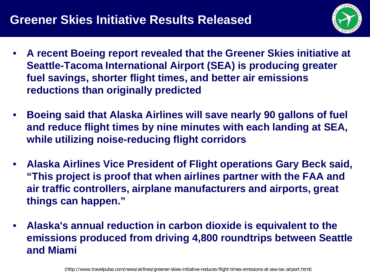

- **A recent Boeing report revealed that the Greener Skies initiative at Seattle-Tacoma International Airport (SEA) is producing greater fuel savings, shorter flight times, and better air emissions reductions than originally predicted**
- **Boeing said that Alaska Airlines will save nearly 90 gallons of fuel and reduce flight times by nine minutes with each landing at SEA, while utilizing noise-reducing flight corridors**
- **Alaska Airlines Vice President of Flight operations Gary Beck said, "This project is proof that when airlines partner with the FAA and air traffic controllers, airplane manufacturers and airports, great things can happen."**
- **Alaska's annual reduction in carbon dioxide is equivalent to the emissions produced from driving 4,800 roundtrips between Seattle and Miami**